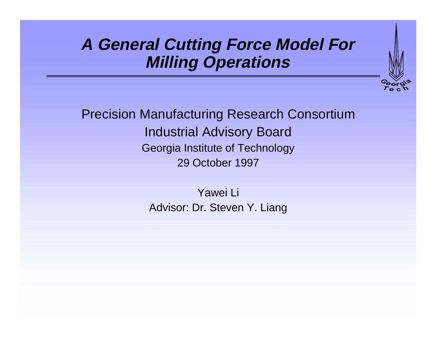## **A General Cutting Force Model For Milling Operations**



Precision Manufacturing Research Consortium Industrial Advisory Board Georgia Institute of Technology 29 October 1997

> Yawei Li Advisor: Dr. Steven Y. Liang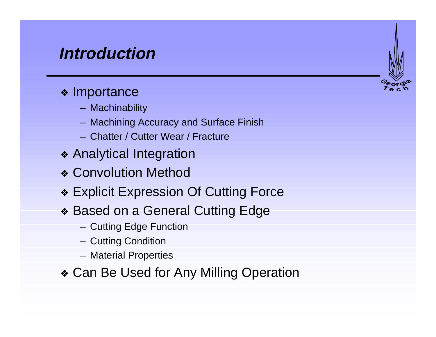## **Introduction**

#### ❖ Importance

- Machinability
- Machining Accuracy and Surface Finish
- Chatter / Cutter Wear / Fracture
- ❖ Analytical Integration
- ❖ Convolution Method
- ❖ Explicit Expression Of Cutting Force
- ❖ Based on a General Cutting Edge
	- Cutting Edge Function
	- Cutting Condition
	- Material Properties
- ❖ Can Be Used for Any Milling Operation

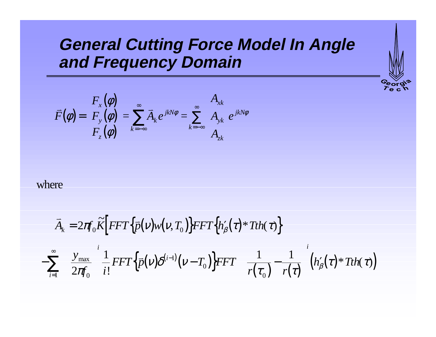## **General Cutting Force Model In Angle and Frequency Domain**

Georg<br>*Te* c

$$
\overline{F}(\phi) = \begin{bmatrix} F_x(\phi) \\ F_y(\phi) \\ F_z(\phi) \end{bmatrix} = \sum_{k=-\infty}^{\infty} \overline{A}_k e^{jkN\phi} = \sum_{k=-\infty}^{\infty} \begin{bmatrix} A_{xk} \\ A_{yk} \\ A_{zk} \end{bmatrix} e^{jkN\phi}
$$

where

$$
\overrightarrow{A}_{k} = 2\pi \int_{0}^{\infty} \overrightarrow{K} \left[ FFT \left\{ \overrightarrow{p}(v)w(v,T_{0}) \right\} FFT \left\{ h'_{\beta}(\tau)^* Tth(\tau) \right\} - \sum_{i=1}^{\infty} \left( \frac{y_{\text{max}}}{2\pi f_{0}} \right)^{i} \frac{1}{i!} FFT \left\{ \overrightarrow{p}(v) \delta^{(i-1)}(v-T_{0}) \right\} FFT \left\{ \left( \frac{1}{r(\tau_{0})} - \frac{1}{r(\tau)} \right)^{i} \left( h'_{\beta}(\tau)^* Tth(\tau) \right) \right\} \right)
$$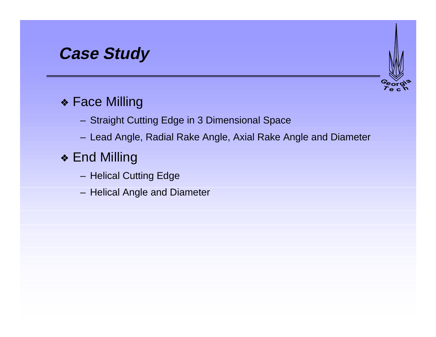## **Case Study**

#### ❖ Face Milling

- Straight Cutting Edge in 3 Dimensional Space
- Lead Angle, Radial Rake Angle, Axial Rake Angle and Diameter

#### ❖ End Milling

- Helical Cutting Edge
- Helical Angle and Diameter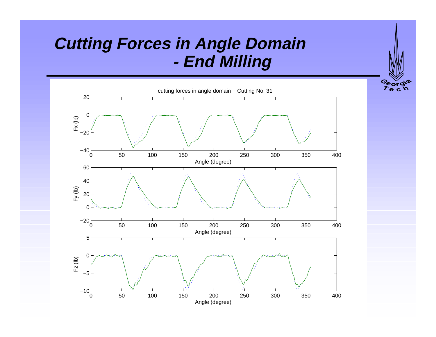# **Cutting Forces in Angle Domain - End Milling**

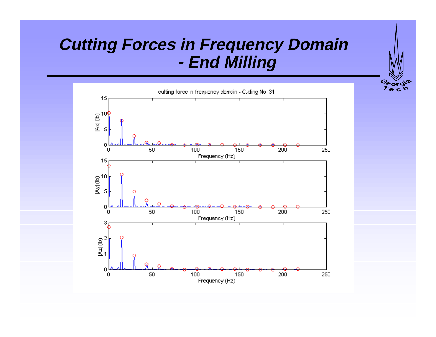# **Cutting Forces in Frequency Domain - End Milling**

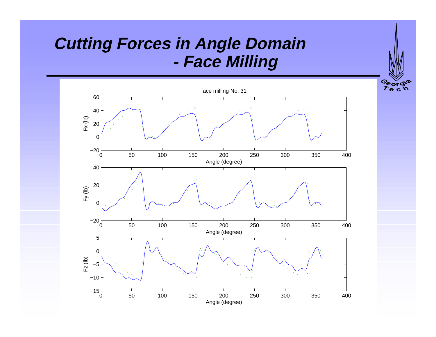## **Cutting Forces in Angle Domain - Face Milling**

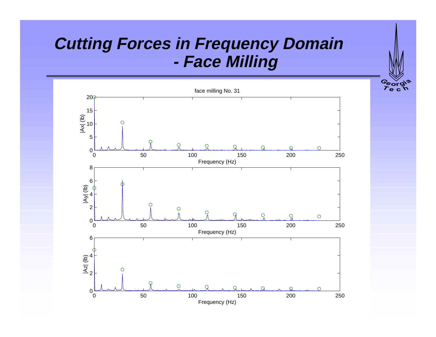## **Cutting Forces in Frequency Domain - Face Milling**